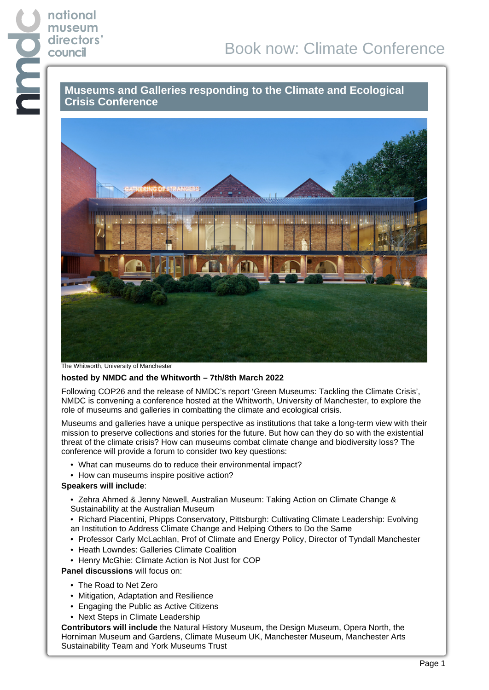## **museum**<br>directors<br>council<br>**Council**<br>Crisis **Museums and Galleries responding to the Climate and Ecological Crisis Conference**



The Whitworth, University of Manchester

**national**

**directors'**

## **hosted by NMDC and the Whitworth – 7th/8th March 2022**

Following COP26 and the release of NMDC's report 'Green Museums: Tackling the Climate Crisis', NMDC is convening a conference hosted at the Whitworth, University of Manchester, to explore the role of museums and galleries in combatting the climate and ecological crisis.

Museums and galleries have a unique perspective as institutions that take a long-term view with their mission to preserve collections and stories for the future. But how can they do so with the existential threat of the climate crisis? How can museums combat climate change and biodiversity loss? The conference will provide a forum to consider two key questions:

- What can museums do to reduce their environmental impact?
- How can museums inspire positive action?

## **Speakers will include**:

- Zehra Ahmed & Jenny Newell, Australian Museum: Taking Action on Climate Change & Sustainability at the Australian Museum
- Richard Piacentini, Phipps Conservatory, Pittsburgh: Cultivating Climate Leadership: Evolving an Institution to Address Climate Change and Helping Others to Do the Same
- Professor Carly McLachlan, Prof of Climate and Energy Policy, Director of Tyndall Manchester
- Heath Lowndes: Galleries Climate Coalition
- Henry McGhie: Climate Action is Not Just for COP

**Panel discussions** will focus on:

- The Road to Net Zero
- Mitigation, Adaptation and Resilience
- Engaging the Public as Active Citizens
- Next Steps in Climate Leadership

**Contributors will include** the Natural History Museum, the Design Museum, Opera North, the Horniman Museum and Gardens, Climate Museum UK, Manchester Museum, Manchester Arts Sustainability Team and York Museums Trust